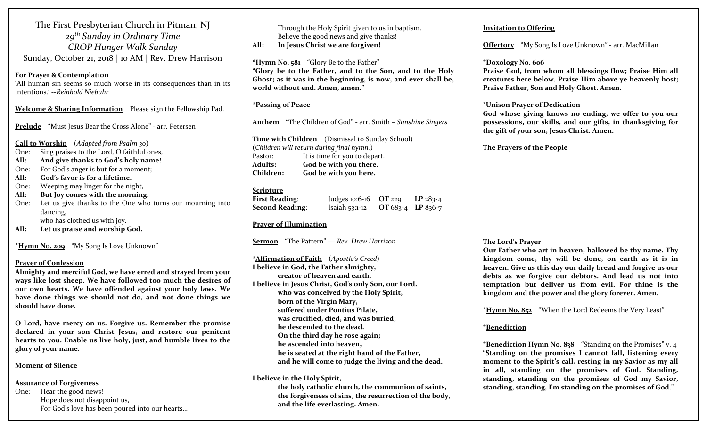The First Presbyterian Church in Pitman, NJ *<sup>29</sup>th Sunday in Ordinary Time CROP Hunger Walk Sunday* Sunday, October 21, <sup>2018</sup> | <sup>10</sup> AM | Rev. Drew Harrison

#### **For Prayer & Contemplation**

'All human sin seems so much worse in its consequences than in its intentions.' ‐‐*Reinhold Niebuhr*

**Welcome & Sharing Information** Please sign the Fellowship Pad.

**Prelude** "Must Jesus Bear the Cross Alone" ‐ arr. Petersen

**Call to Worship** (*Adapted from Psalm <sup>30</sup>*)

- One:Sing praises to the Lord, O faithful ones,
- **All:And give thanks to God's holy name!**
- One:For God's anger is but for <sup>a</sup> moment;
- **All:God's favor is for a lifetime.**
- One:Weeping may linger for the night,
- **All:But Joy comes with the morning.**

One: Let us give thanks to the One who turns our mourning into dancing, who has clothed us with joy.

**All:Let us praise and worship God.**

**\*Hymn No. <sup>209</sup>** "My Song Is Love Unknown"

#### **Prayer of Confession**

**Almighty and merciful God, we have erred and strayed from your ways like lost sheep. We have followed too much the desires of our own hearts. We have offended against your holy laws. We have done things we should not do, and not done things we should have done.**

**O Lord, have mercy on us. Forgive us. Remember the promise declared in your son Christ Jesus, and restore our penitent hearts to you. Enable us live holy, just, and humble lives to the glory of your name.**

#### **Moment of Silence**

#### **Assurance of Forgiveness**

One: Hear the good news! Hope does not disappoint us, For God's love has been poured into our hearts… Through the Holy Spirit given to us in baptism. Believe the good news and give thanks!

**All:In Jesus Christ we are forgiven!**

**\*Hymn No. <sup>5</sup><sup>81</sup>** "Glory Be to the Father" **"Glory be to the Father, and to the Son, and to the Holy Ghost; as it was in the beginning, is now, and ever shall be, world without end. Amen, amen."**

### **\*Passing of Peace**

**Anthem** "The Children of God" ‐ arr. Smith – *Sunshine Singers*

**Time with Children** (Dismissal to Sunday School) (*Children will return during final hymn.*) Pastor: It is time for you to depart. **Adults: God be with you there. Children:God be with you here.**

# **Scripture**

| <b>First Reading:</b>  | Judges 10:6-16 $OT$ 229 |                   | $LP$ 283-4 |
|------------------------|-------------------------|-------------------|------------|
| <b>Second Reading:</b> | Isaiah $53:1-12$        | OT 683-4 LP 836-7 |            |

#### **Prayer of Illumination**

**Sermon** "The Pattern" ― *Rev. Drew Harrison*

**\*Affirmation of Faith** (*Apostle's Creed*) **I believe in God, the Father almighty, creator of heaven and earth. I believe in Jesus Christ, God's only Son, our Lord. who was conceived by the Holy Spirit, born of the Virgin Mary, suffered under Pontius Pilate, was crucified, died, and was buried; he descended to the dead. On the third day he rose again; he ascended into heaven, he is seated at the right hand of the Father, and he will come to judge the living and the dead.**

#### **I believe in the Holy Spirit,**

**the holy catholic church, the communion of saints, the forgiveness of sins, the resurrection of the body, and the life everlasting. Amen.**

#### **Invitation to Offering**

**Offertory** "My Song Is Love Unknown" ‐ arr. MacMillan

### **\*Doxology No. 606**

**Praise God, from whom all blessings flow; Praise Him all creatures here below. Praise Him above ye heavenly host; Praise Father, Son and Holy Ghost. Amen.**

#### \***Unison Prayer of Dedication**

**God whose giving knows no ending, we offer to you our possessions, our skills, and our gifts, in thanksgiving for the gift of your son, Jesus Christ. Amen.**

#### **The Prayers of the People**

## **The Lord's Prayer**

**Our Father who art in heaven, hallowed be thy name. Thy kingdom come, thy will be done, on earth as it is in heaven. Give us this day our daily bread and forgive us our debts as we forgive our debtors. And lead us not into temptation but deliver us from evil. For thine is the kingdom and the power and the glory forever. Amen.**

**\*Hymn No. 852** "When the Lord Redeems the Very Least"

#### **\*Benediction**

**\*Benediction Hymn No. 838** "Standing on the Promises" v. 4 **"Standing on the promises <sup>I</sup> cannot fall, listening every moment to the Spirit's call, resting in my Savior as my all in all, standing on the promises of God. Standing, standing, standing on the promises of God my Savior, standing, standing, I'm standing on the promises of God."**